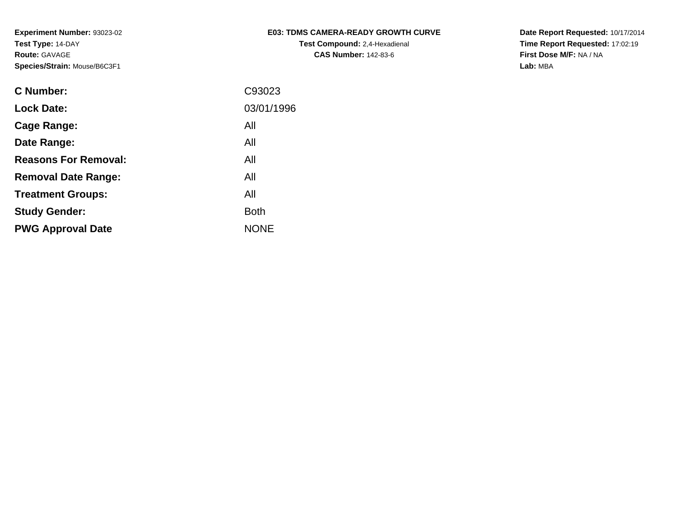| <b>E03: TDMS CAMERA-READY GROWTH CURVE</b> |
|--------------------------------------------|
| <b>Test Compound:</b> 2,4-Hexadienal       |
| <b>CAS Number: 142-83-6</b>                |

**Date Report Requested:** 10/17/2014 **Time Report Requested:** 17:02:19**First Dose M/F:** NA / NA**Lab:** MBA

| <b>C Number:</b>            | C93023      |
|-----------------------------|-------------|
| <b>Lock Date:</b>           | 03/01/1996  |
| <b>Cage Range:</b>          | All         |
| Date Range:                 | All         |
| <b>Reasons For Removal:</b> | All         |
| <b>Removal Date Range:</b>  | All         |
| <b>Treatment Groups:</b>    | All         |
| <b>Study Gender:</b>        | <b>Both</b> |
| <b>PWG Approval Date</b>    | <b>NONE</b> |
|                             |             |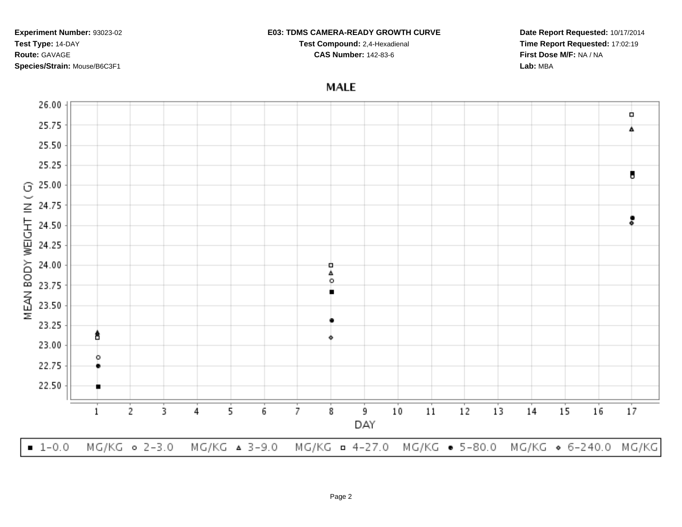#### **E03: TDMS CAMERA-READY GROWTH CURVE**

**Test Compound:** 2,4-Hexadienal **CAS Number:** 142-83-6

**Date Report Requested:** 10/17/2014**Time Report Requested:** 17:02:19**First Dose M/F:** NA / NA**Lab:** MBA

# **MALE**

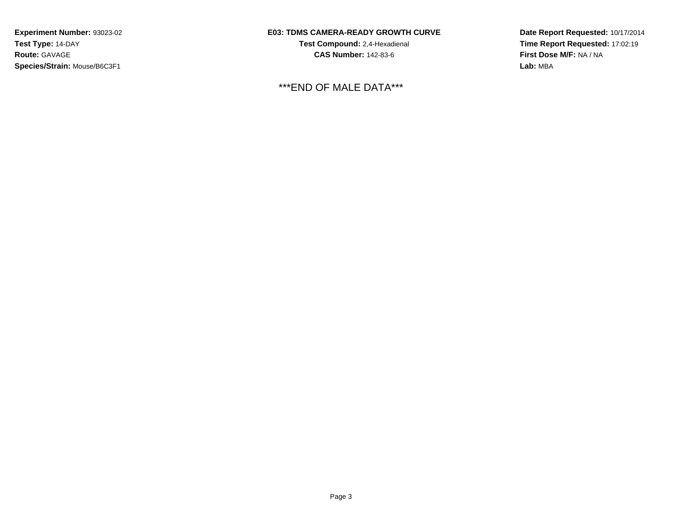## **E03: TDMS CAMERA-READY GROWTH CURVE**

**Test Compound:** 2,4-Hexadienal **CAS Number:** 142-83-6

\*\*\*END OF MALE DATA\*\*\*

**Date Report Requested:** 10/17/2014**Time Report Requested:** 17:02:19**First Dose M/F:** NA / NA**Lab:** MBA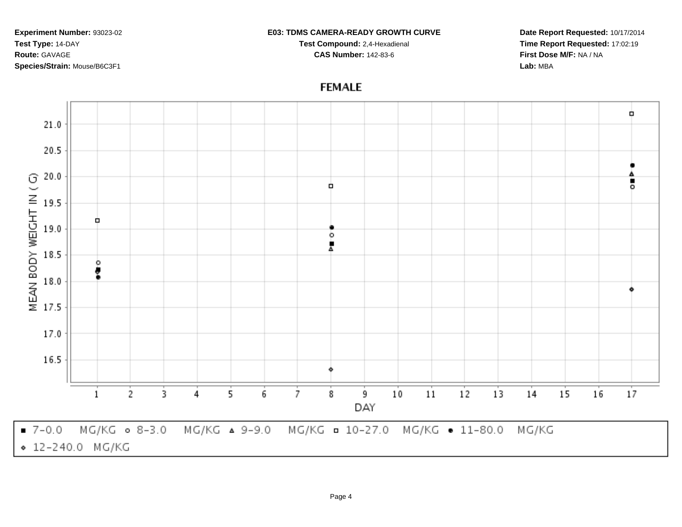### **E03: TDMS CAMERA-READY GROWTH CURVE**

**Test Compound:** 2,4-Hexadienal **CAS Number:** 142-83-6

**Date Report Requested:** 10/17/2014**Time Report Requested:** 17:02:19**First Dose M/F:** NA / NA**Lab:** MBA

#### Ò,  $21.0$ 20.5 20.0 MEAN BODY WEIGHT IN (G) ٠ o, ō 19.5 Ò 19.0 ۰ Ā 18.5 o ţ 18.0 17.5 17.0 16.5  $10$  $11$  $12$  $13$  $17$ 5 7  $14$ 15 16  $\mathbf{1}$ 2 3 4 6 8 9 DAY  $-7 - 0.0$ MG/KG 0 8-3.0 MG/KG & 9-9.0 MG/KG = 10-27.0 MG/KG · 11-80.0 MG/KG ◆ 12-240.0 MG/KG

# **FEMALE**